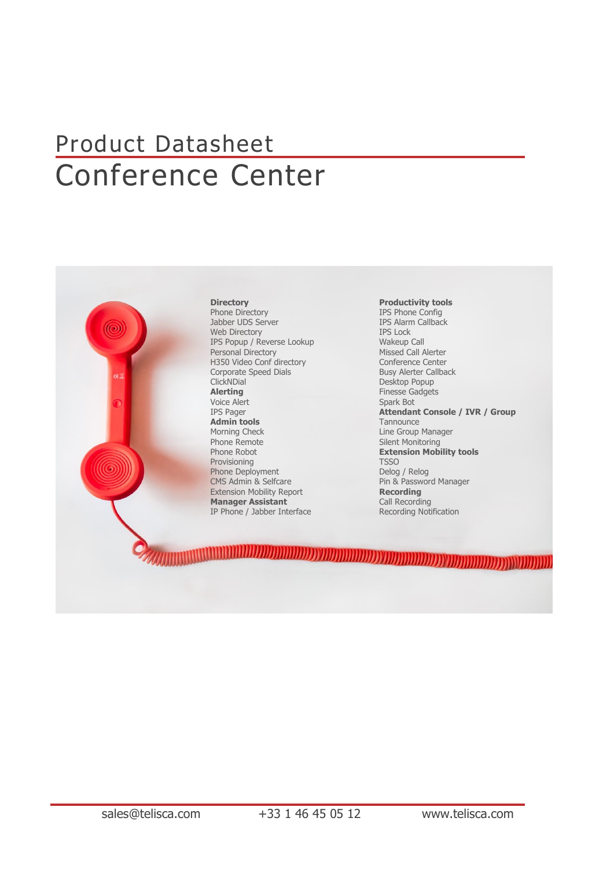## Product Datasheet Conference Center



#### **Directory** Phone Directory Jabber UDS Server Web Directory IPS Popup / Reverse Lookup Personal Directory H350 Video Conf directory Corporate Speed Dials **ClickNDial Alerting** Voice Alert IPS Pager **Admin tools** Morning Check Phone Remote Phone Robot Provisioning Phone Deployment CMS Admin & Selfcare Extension Mobility Report **Manager Assistant** IP Phone / Jabber Interface

**Productivity tools** IPS Phone Config IPS Alarm Callback IPS Lock Wakeup Call Missed Call Alerter Conference Center Busy Alerter Callback Desktop Popup Finesse Gadgets Spark Bot **Attendant Console / IVR / Group Tannounce** Line Group Manager Silent Monitoring **Extension Mobility tools** TSSO Delog / Relog Pin & Password Manager **Recording** Call Recording Recording Notification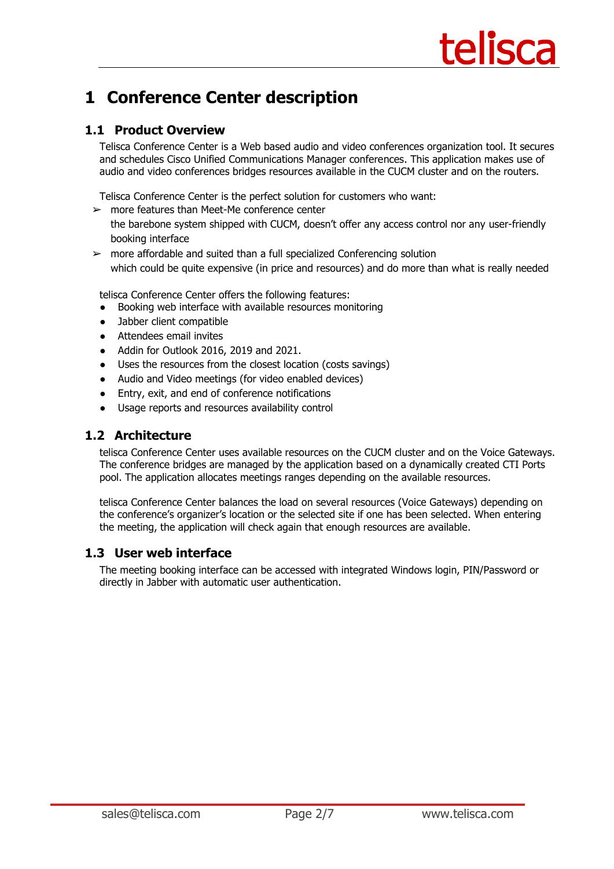### **1 Conference Center description**

#### **1.1 Product Overview**

Telisca Conference Center is a Web based audio and video conferences organization tool. It secures and schedules Cisco Unified Communications Manager conferences. This application makes use of audio and video conferences bridges resources available in the CUCM cluster and on the routers.

Telisca Conference Center is the perfect solution for customers who want:

 $\geq$  more features than Meet-Me conference center

the barebone system shipped with CUCM, doesn't offer any access control nor any user-friendly booking interface

 $\triangleright$  more affordable and suited than a full specialized Conferencing solution which could be quite expensive (in price and resources) and do more than what is really needed

telisca Conference Center offers the following features:

- Booking web interface with available resources monitoring
- Jabber client compatible
- Attendees email invites
- Addin for Outlook 2016, 2019 and 2021.
- Uses the resources from the closest location (costs savings)
- Audio and Video meetings (for video enabled devices)
- Entry, exit, and end of conference notifications
- Usage reports and resources availability control

#### **1.2 Architecture**

telisca Conference Center uses available resources on the CUCM cluster and on the Voice Gateways. The conference bridges are managed by the application based on a dynamically created CTI Ports pool. The application allocates meetings ranges depending on the available resources.

telisca Conference Center balances the load on several resources (Voice Gateways) depending on the conference's organizer's location or the selected site if one has been selected. When entering the meeting, the application will check again that enough resources are available.

#### **1.3 User web interface**

The meeting booking interface can be accessed with integrated Windows login, PIN/Password or directly in Jabber with automatic user authentication.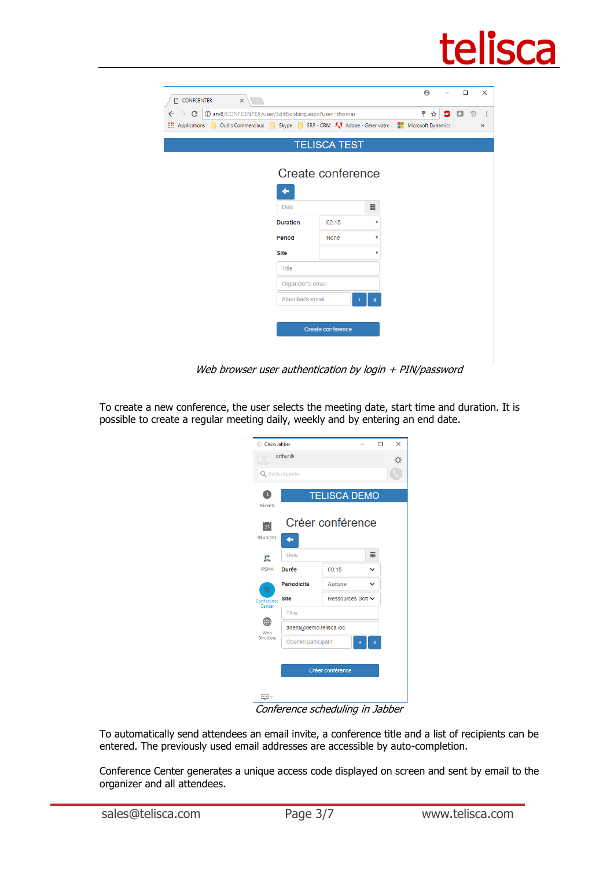# telisca

| $\times$<br><b>CONFCENTER</b>                                                                 |                                                                                               |             |                         |  | $\Theta$ |            | $\Box$ | $\times$      |  |
|-----------------------------------------------------------------------------------------------|-----------------------------------------------------------------------------------------------|-------------|-------------------------|--|----------|------------|--------|---------------|--|
| <b>1</b> Srv8/CONFCENTER/user/EditBooking.aspx?user=thomas<br>$\rightarrow$ C<br>$\leftarrow$ |                                                                                               |             |                         |  | 4<br>☆   | <b>ABP</b> |        | $\vdots$<br>り |  |
| <b>H</b> Applications                                                                         | De Outils Commerciaux De Skype De ERP - CRM TA Adobe - Gérer votre de De Microsoft Dynamics 3 |             |                         |  |          |            |        |               |  |
|                                                                                               | <b>TELISCA TEST</b>                                                                           |             |                         |  |          |            |        |               |  |
| ــ                                                                                            | Create conference                                                                             |             |                         |  |          |            |        |               |  |
| Date                                                                                          | 篇                                                                                             |             |                         |  |          |            |        |               |  |
| <b>Duration</b>                                                                               |                                                                                               | 00:15       | $\overline{\mathbf{v}}$ |  |          |            |        |               |  |
| Period                                                                                        |                                                                                               | <b>None</b> | v                       |  |          |            |        |               |  |
| <b>Site</b>                                                                                   |                                                                                               |             | $\overline{\mathbf{v}}$ |  |          |            |        |               |  |
| <b>Title</b>                                                                                  |                                                                                               |             |                         |  |          |            |        |               |  |
|                                                                                               | Organizer's email                                                                             |             |                         |  |          |            |        |               |  |
|                                                                                               | Attendee's email                                                                              |             | x                       |  |          |            |        |               |  |
|                                                                                               |                                                                                               |             |                         |  |          |            |        |               |  |
|                                                                                               | Create conference                                                                             |             |                         |  |          |            |        |               |  |
|                                                                                               |                                                                                               |             |                         |  |          |            |        |               |  |
|                                                                                               |                                                                                               |             |                         |  |          |            |        |               |  |

Web browser user authentication by login + PIN/password

To create a new conference, the user selects the meeting date, start time and duration. It is possible to create a regular meeting daily, weekly and by entering an end date.

| Cisco Jabber    |                           | п<br>$\times$                    |   |                    |  |  |  |  |  |
|-----------------|---------------------------|----------------------------------|---|--------------------|--|--|--|--|--|
|                 | arthur@                   |                                  |   | ☆                  |  |  |  |  |  |
|                 | Q Rech./Appeler           |                                  |   |                    |  |  |  |  |  |
|                 |                           | <b>TELISCA DEMO</b>              |   |                    |  |  |  |  |  |
| Récents         |                           |                                  |   |                    |  |  |  |  |  |
| 31              | Créer conférence          |                                  |   |                    |  |  |  |  |  |
| <b>Réunions</b> |                           |                                  |   |                    |  |  |  |  |  |
| 弖               | <b>Date</b>               | 篇                                |   |                    |  |  |  |  |  |
| <b>IPSMA</b>    | <b>Durée</b>              | 00:15                            | v |                    |  |  |  |  |  |
| Ħ               | Périodicité               | Aucune                           | v |                    |  |  |  |  |  |
| Conference      | <b>Site</b>               | Ressources Soft <b>▽</b>         |   |                    |  |  |  |  |  |
| Center          | <b>Titre</b>              |                                  |   |                    |  |  |  |  |  |
| Web             | adent@demo.telisca.loc    |                                  |   |                    |  |  |  |  |  |
| Directory       | Courriel participant<br>x |                                  |   |                    |  |  |  |  |  |
|                 |                           |                                  |   |                    |  |  |  |  |  |
|                 | Créer conférence          |                                  |   |                    |  |  |  |  |  |
|                 |                           |                                  |   |                    |  |  |  |  |  |
| o.              |                           | $\mathbf{r}$<br>$\mathbf{r}$<br> | ٠ | <b>7</b> <i>II</i> |  |  |  |  |  |

Conference scheduling in Jabber

To automatically send attendees an email invite, a conference title and a list of recipients can be entered. The previously used email addresses are accessible by auto-completion.

Conference Center generates a unique access code displayed on screen and sent by email to the organizer and all attendees.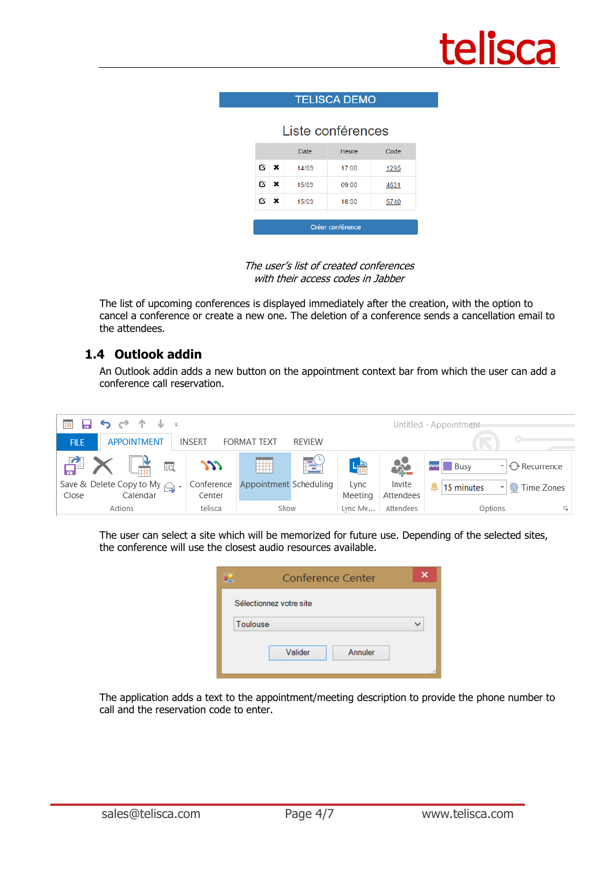

#### **TELISCA DEMO**

#### Liste conférences

|                  |   | <b>Date</b> | <b>Heure</b> | Code |  |  |  |  |  |  |
|------------------|---|-------------|--------------|------|--|--|--|--|--|--|
| Ø                | × | 14/03       | 17:00        | 1295 |  |  |  |  |  |  |
| Ø                | × | 15/03       | 09:00        | 4631 |  |  |  |  |  |  |
| Ø                | × | 15/03       | 18:00        | 5740 |  |  |  |  |  |  |
|                  |   |             |              |      |  |  |  |  |  |  |
| Créer conférence |   |             |              |      |  |  |  |  |  |  |

The user's list of created conferences with their access codes in Jahher

The list of upcoming conferences is displayed immediately after the creation, with the option to cancel a conference or create a new one. The deletion of a conference sends a cancellation email to the attendees.

#### **1.4 Outlook addin**

An Outlook addin adds a new button on the appointment context bar from which the user can add a conference call reservation.



The user can select a site which will be memorized for future use. Depending of the selected sites, the conference will use the closest audio resources available.

|          | Conference Center       |  |
|----------|-------------------------|--|
|          | Sélectionnez votre site |  |
| Toulouse |                         |  |
|          | Valider<br>Annuler      |  |

The application adds a text to the appointment/meeting description to provide the phone number to call and the reservation code to enter.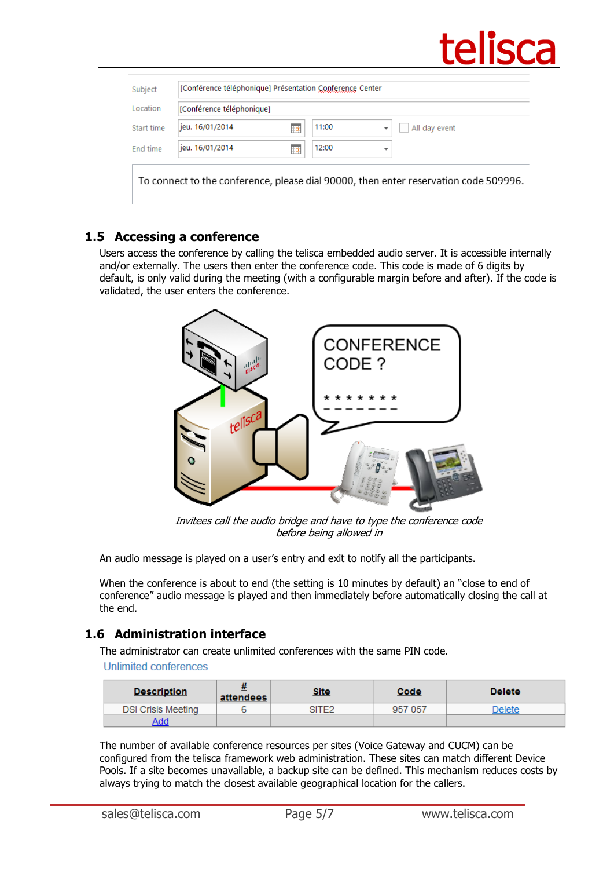

| Location   | [Conférence téléphonique] |              |                                           |
|------------|---------------------------|--------------|-------------------------------------------|
| Start time | jeu. 16/01/2014           | 11:00<br>Ħe. | All day event<br>$\overline{\phantom{a}}$ |
| End time   | jeu. 16/01/2014           | 12:00<br>Ħ.  |                                           |

#### **1.5 Accessing a conference**

Users access the conference by calling the telisca embedded audio server. It is accessible internally and/or externally. The users then enter the conference code. This code is made of 6 digits by default, is only valid during the meeting (with a configurable margin before and after). If the code is validated, the user enters the conference.



Invitees call the audio bridge and have to type the conference code before being allowed in

An audio message is played on a user's entry and exit to notify all the participants.

When the conference is about to end (the setting is 10 minutes by default) an "close to end of conference" audio message is played and then immediately before automatically closing the call at the end.

#### **1.6 Administration interface**

The administrator can create unlimited conferences with the same PIN code.

**Unlimited conferences** 

| <b>Description</b>        | attendees | <u>Site</u> | <u>Code</u> | <b>Delete</b> |
|---------------------------|-----------|-------------|-------------|---------------|
| <b>DSI Crisis Meeting</b> |           | SITE2       | 957 057     | <b>Delete</b> |
| Add                       |           |             |             |               |

The number of available conference resources per sites (Voice Gateway and CUCM) can be configured from the telisca framework web administration. These sites can match different Device Pools. If a site becomes unavailable, a backup site can be defined. This mechanism reduces costs by always trying to match the closest available geographical location for the callers.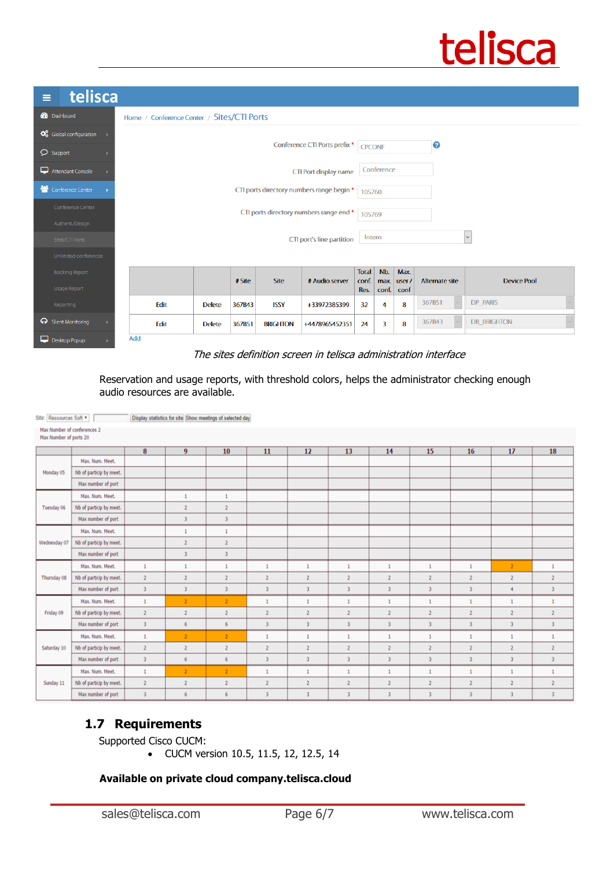

| telisca<br>Ξ                                                          |                                                                |               |        |                 |                |                               |                      |                       |                       |                    |  |  |
|-----------------------------------------------------------------------|----------------------------------------------------------------|---------------|--------|-----------------|----------------|-------------------------------|----------------------|-----------------------|-----------------------|--------------------|--|--|
| <b>20</b> Dashboard                                                   | Home / Conference Center / Sites/CTI Ports                     |               |        |                 |                |                               |                      |                       |                       |                    |  |  |
| $\bullet$ Global configuration $\rightarrow$<br>$\mathcal{D}$ Support | Conference CTI Ports prefix *                                  |               |        |                 |                |                               |                      | 0<br><b>CPCONF</b>    |                       |                    |  |  |
| Attendant Console                                                     | CTI Port display name                                          |               |        |                 |                |                               | Conference           |                       |                       |                    |  |  |
| Conference Center<br>×                                                | CTI ports directory numbers range begin *                      |               |        |                 |                |                               | 105760               |                       |                       |                    |  |  |
| Conference Center                                                     | CTI ports directory numbers range end *                        |               |        |                 |                |                               |                      | 105769                |                       |                    |  |  |
| Authent/Design                                                        |                                                                |               |        |                 |                |                               |                      |                       |                       |                    |  |  |
| Sites/CTI Ports                                                       | CTI port's line partition                                      |               |        |                 |                |                               |                      | $\sim$<br>Intern      |                       |                    |  |  |
| Unlimited conferences                                                 |                                                                |               |        |                 |                |                               |                      |                       |                       |                    |  |  |
| <b>Booking Report</b><br>Usage Report                                 | # Site<br><b>Site</b><br># Audio server                        |               |        |                 |                | <b>Total</b><br>conf.<br>Res. | Nb.<br>max.<br>conf. | Max.<br>user/<br>conf | <b>Alternate site</b> | <b>Device Pool</b> |  |  |
| Reporting                                                             | Edit<br><b>Delete</b><br>367B43<br><b>ISSY</b><br>+33972385399 |               |        |                 |                |                               | 4                    | 8                     | 367B51                | DP_PARIS           |  |  |
| <b>O</b> Silent Monitoring                                            | Edit                                                           | <b>Delete</b> | 367B51 | <b>BRIGHTON</b> | +4478965452351 | 24                            | $\overline{3}$       | 8                     | 367B43<br>$\sim$      | <b>DB BRIGHTON</b> |  |  |
| Desktop Popup                                                         | Add                                                            |               |        |                 |                |                               |                      |                       |                       |                    |  |  |

#### The sites definition screen in telisca administration interface

Reservation and usage reports, with threshold colors, helps the administrator checking enough audio resources are available.

| Max Number of conferences 2<br>Max Number of ports 20 |                         |                         |                |                         |                         |                         |                         |                         |                         |                         |                |                         |
|-------------------------------------------------------|-------------------------|-------------------------|----------------|-------------------------|-------------------------|-------------------------|-------------------------|-------------------------|-------------------------|-------------------------|----------------|-------------------------|
|                                                       |                         | 8                       | $\overline{9}$ | 10                      | 11                      | 12                      | 13                      | 14                      | 15                      | 16                      | 17             | 18                      |
|                                                       | Max. Num. Meet.         |                         |                |                         |                         |                         |                         |                         |                         |                         |                |                         |
| Monday 05                                             | Nb of particip by meet. |                         |                |                         |                         |                         |                         |                         |                         |                         |                |                         |
|                                                       | Max number of port      |                         |                |                         |                         |                         |                         |                         |                         |                         |                |                         |
|                                                       | Max. Num. Meet.         |                         | $\mathbf{1}$   | $\mathbf{1}$            |                         |                         |                         |                         |                         |                         |                |                         |
| Tuesday 06                                            | Nb of particip by meet. |                         | $\overline{2}$ | $\overline{2}$          |                         |                         |                         |                         |                         |                         |                |                         |
|                                                       | Max number of port      |                         | $\mathcal{R}$  | $\overline{\mathbf{3}}$ |                         |                         |                         |                         |                         |                         |                |                         |
|                                                       | Max. Num. Meet.         |                         | $\mathbf{1}$   | $\mathbf{1}$            |                         |                         |                         |                         |                         |                         |                |                         |
| Wednesday 07                                          | Nb of particip by meet. |                         | $\overline{2}$ | $\overline{2}$          |                         |                         |                         |                         |                         |                         |                |                         |
|                                                       | Max number of port      |                         | $\overline{3}$ | $\sqrt{3}$              |                         |                         |                         |                         |                         |                         |                |                         |
|                                                       | Max. Num. Meet.         | $\mathbf 1$             | 1              | $\mathbf{1}$            | $\mathbf{1}$            | 1                       | 1                       | 1                       | $\mathbf{1}$            | $\mathbf{1}$            | $\overline{2}$ | $\mathbf{1}$            |
| Thursday 08                                           | Nb of particip by meet. | $\overline{2}$          | $\overline{2}$ | $\overline{2}$          | $\overline{2}$          | $\overline{2}$          | $\overline{2}$          | $\overline{2}$          | $\overline{2}$          | $\overline{2}$          | $\overline{2}$ | $\overline{2}$          |
|                                                       | Max number of port      | $\overline{3}$          | $\overline{3}$ | $\overline{\mathbf{3}}$ | $\overline{\mathbf{3}}$ | $\overline{\mathbf{3}}$ | $\overline{\mathbf{3}}$ | $\overline{\mathbf{3}}$ | $\overline{\mathbf{3}}$ | $\overline{\mathbf{3}}$ | 4              | $\overline{3}$          |
|                                                       | Max, Num, Meet.         | $\mathbf{1}$            | $\mathcal{P}$  | $\overline{2}$          | $\mathbf{1}$            | f.                      | ٠                       | ٠.                      | $\mathbf{1}$            | $\mathbf{1}$            | $\mathbf{1}$   | $\mathbf{1}$            |
| Friday 09                                             | Nb of particip by meet. | $\overline{2}$          | $\overline{2}$ | $\overline{2}$          | $\overline{2}$          | $\overline{\mathbf{2}}$ | $\overline{2}$          | $\overline{2}$          | $\overline{2}$          | $\overline{2}$          | $\overline{2}$ | $\overline{2}$          |
|                                                       | Max number of port      | $\overline{\mathbf{3}}$ | 6              | 6                       | $\overline{\mathbf{3}}$ |                         | $\overline{3}$          | $\overline{\mathbf{3}}$ | $\overline{3}$          | $\overline{\mathbf{3}}$ | 3              | $\overline{\mathbf{3}}$ |
|                                                       | Max. Num. Meet.         | $\mathbf{1}$            | $\mathcal{L}$  | $\overline{2}$          | 1                       | f.                      | ٠                       | ٠                       | $\mathbf{1}$            | $\mathbf{1}$            | $\mathbf{1}$   | $\mathbf{1}$            |
| Saturday 10                                           | Nb of particip by meet. | $\overline{2}$          | $\overline{2}$ | $\overline{2}$          | $\overline{2}$          | $\overline{2}$          | $\overline{2}$          | $\overline{2}$          | $\overline{2}$          | $\overline{2}$          | $\overline{2}$ | $\overline{2}$          |
|                                                       | Max number of port      | $\overline{3}$          | 6              | 6                       | $\overline{3}$          | $\overline{3}$          | $\overline{3}$          | $\overline{3}$          | $\overline{\mathbf{3}}$ | $\overline{\mathbf{z}}$ | $\overline{3}$ | $\overline{\mathbf{3}}$ |
|                                                       | Max. Num. Meet.         | $\mathbf{1}$            | $\mathbf{2}$   | $\overline{2}$          | $\mathbf{1}$            | 1                       | ٠                       | 1                       | $\mathbf{1}$            | $\mathbf{1}$            | $\mathbf{1}$   | $\mathbf{1}$            |
| Sunday 11                                             | Nb of particip by meet. | $\overline{2}$          | $\overline{2}$ | $\overline{2}$          | $\overline{2}$          | $\overline{2}$          | $\overline{2}$          | $\overline{2}$          | $\overline{2}$          | $\overline{2}$          | $\overline{2}$ | $\overline{2}$          |
|                                                       | Max number of port      | $\overline{\mathbf{3}}$ | 6              | 6                       | 3                       | ä                       | ä                       | $\overline{z}$          | $\overline{3}$          |                         | $\overline{3}$ | $\overline{\mathbf{3}}$ |

#### **1.7 Requirements**

Site: Ressources Soft v | Display statistics for site Show meetings of selected day

Supported Cisco CUCM:

• CUCM version 10.5, 11.5, 12, 12.5, 14

#### **Available on private cloud company.telisca.cloud**